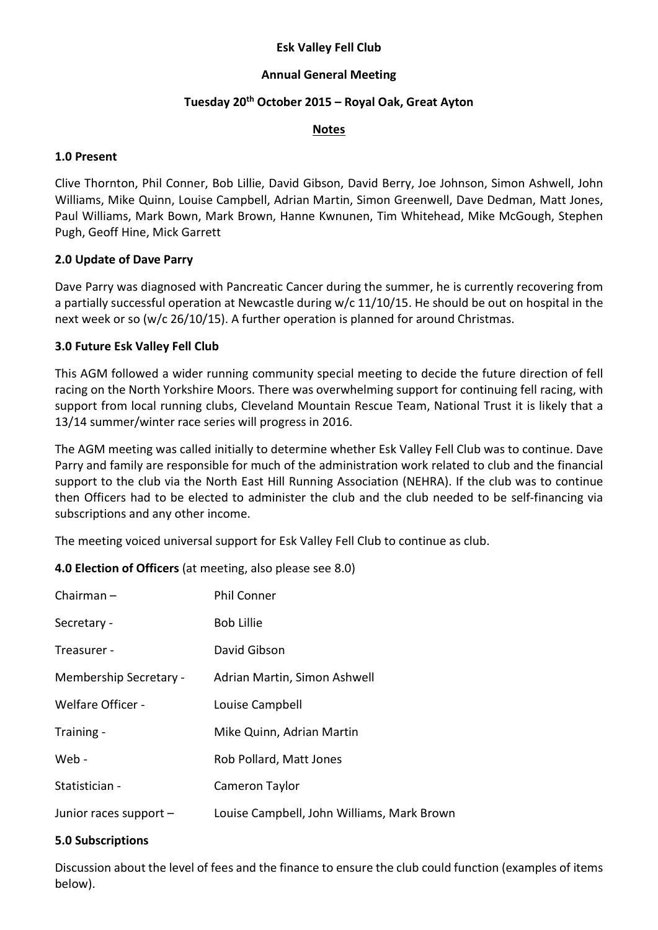## Esk Valley Fell Club

## Annual General Meeting

## Tuesday 20<sup>th</sup> October 2015 - Royal Oak, Great Ayton

#### Notes

#### 1.0 Present

Clive Thornton, Phil Conner, Bob Lillie, David Gibson, David Berry, Joe Johnson, Simon Ashwell, John Williams, Mike Quinn, Louise Campbell, Adrian Martin, Simon Greenwell, Dave Dedman, Matt Jones, Paul Williams, Mark Bown, Mark Brown, Hanne Kwnunen, Tim Whitehead, Mike McGough, Stephen Pugh, Geoff Hine, Mick Garrett

## 2.0 Update of Dave Parry

Dave Parry was diagnosed with Pancreatic Cancer during the summer, he is currently recovering from a partially successful operation at Newcastle during w/c 11/10/15. He should be out on hospital in the next week or so (w/c 26/10/15). A further operation is planned for around Christmas.

## 3.0 Future Esk Valley Fell Club

This AGM followed a wider running community special meeting to decide the future direction of fell racing on the North Yorkshire Moors. There was overwhelming support for continuing fell racing, with support from local running clubs, Cleveland Mountain Rescue Team, National Trust it is likely that a 13/14 summer/winter race series will progress in 2016.

The AGM meeting was called initially to determine whether Esk Valley Fell Club was to continue. Dave Parry and family are responsible for much of the administration work related to club and the financial support to the club via the North East Hill Running Association (NEHRA). If the club was to continue then Officers had to be elected to administer the club and the club needed to be self-financing via subscriptions and any other income.

The meeting voiced universal support for Esk Valley Fell Club to continue as club.

4.0 Election of Officers (at meeting, also please see 8.0)

| Chairman $-$           | <b>Phil Conner</b>                         |
|------------------------|--------------------------------------------|
| Secretary -            | <b>Bob Lillie</b>                          |
| Treasurer -            | David Gibson                               |
| Membership Secretary - | Adrian Martin, Simon Ashwell               |
| Welfare Officer -      | Louise Campbell                            |
| Training -             | Mike Quinn, Adrian Martin                  |
| Web -                  | Rob Pollard, Matt Jones                    |
| Statistician -         | Cameron Taylor                             |
| Junior races support - | Louise Campbell, John Williams, Mark Brown |

#### 5.0 Subscriptions

Discussion about the level of fees and the finance to ensure the club could function (examples of items below).